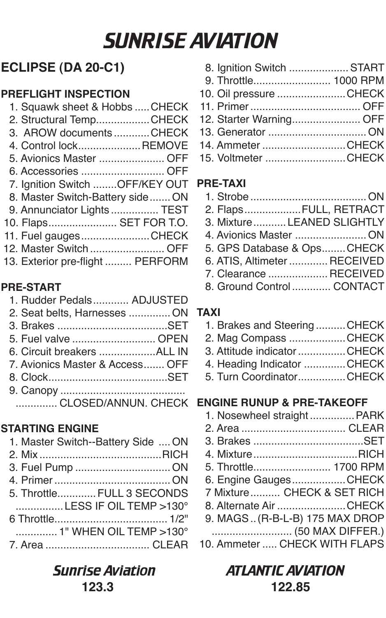## SUNRISE AVIATION

## **ECLIPSE (DA 20-C1)**

## **PREFLIGHT INSPECTION**

- 1. Squawk sheet & Hobbs .....CHECK 2. Structural Temp....................CHECK
- 3. AROW documents ............CHECK
- 4. Control lock .....................REMOVE
- 5. Avionics Master ...................... OFF
- 6. Accessories ............................ OFF
- 7. Ignition Switch ........OFF/KEY OUT
- 8. Master Switch-Battery side ....... ON
- 9. Annunciator Lights ................ TEST
- 10. Flaps ....................... SET FOR T.O.
- 11. Fuel gauges .......................CHECK
- 12. Master Switch ......................... OFF
- 13. Exterior pre-flight ......... PERFORM

## **PRE-START**

- 1. Rudder Pedals ............ ADJUSTED
- 2. Seat belts, Harnesses .............. ON 3. Brakes .....................................SET 5. Fuel valve ............................ OPEN 6. Circuit breakers ...................ALL IN 7. Avionics Master & Access ....... OFF 8. Clock ........................................SET 9. Canopy ..........................................

## **STARTING ENGINE**

| 1. Master Switch--Battery Side  ON |
|------------------------------------|
|                                    |
|                                    |
|                                    |
| 5. Throttle FULL 3 SECONDS         |
| LESS IF OIL TEMP >130°             |
|                                    |
| 1" WHEN OIL TEMP >130°             |
|                                    |
|                                    |

## **123.3 122.85**

| 8. Ignition Switch  START |  |
|---------------------------|--|
| 9. Throttle 1000 RPM      |  |
| 10. Oil pressure CHECK    |  |
|                           |  |
|                           |  |
|                           |  |
| 14. Ammeter CHECK         |  |
| 15 Voltmeter CHFCK        |  |

## **PRE-TAXI**

| 2. FlapsFULL, RETRACT        |
|------------------------------|
| 3. Mixture  LEANED SLIGHTLY  |
| 4. Avionics Master  ON       |
| 5. GPS Database & OpsCHECK   |
| 6. ATIS, Altimeter  RECEIVED |
| 7. Clearance  RECEIVED       |
| 8 Ground Control CONTACT     |

iround Control .............

## **TAXI**

- 1. Brakes and Steering ..........CHECK
- 2. Mag Compass ...................CHECK
- 3. Attitude indicator ................CHECK
- 4. Heading Indicator ..............CHECK
- 5. Turn Coordinator ................CHECK

## .............. CLOSED/ANNUN. CHECK **ENGINE RUNUP & PRE-TAKEOFF**

| 1. Nosewheel straight PARK    |  |
|-------------------------------|--|
|                               |  |
|                               |  |
|                               |  |
| 5. Throttle 1700 RPM          |  |
| 6. Engine GaugesCHECK         |  |
| 7 Mixture CHECK & SET RICH    |  |
| 8. Alternate Air CHECK        |  |
| 9. MAGS(R-B-L-B) 175 MAX DROP |  |
|                               |  |
| 10. Ammeter  CHECK WITH FLAPS |  |

# Sunrise Aviation ATLANTIC AVIATION